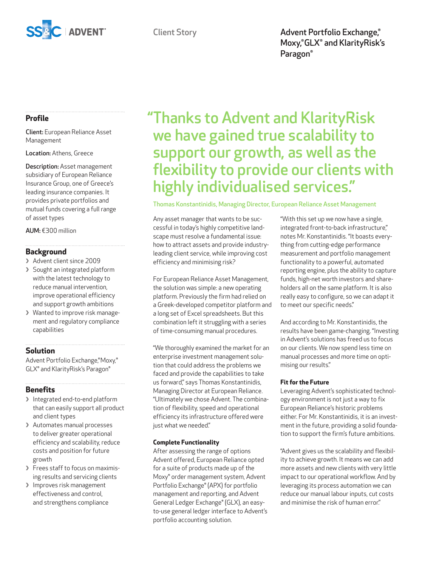

Client Story **Advent Portfolio Exchange**,<sup>®</sup> Moxy,®GLX® and KlarityRisk's Paragon®

## **Profile**

Client: European Reliance Asset Management

Location: Athens, Greece

Description: Asset management subsidiary of European Reliance Insurance Group, one of Greece's leading insurance companies. It provides private portfolios and mutual funds covering a full range of asset types

AUM: €300 million

## **Background**

- **❯** Advent client since 2009
- **❯** Sought an integrated platform with the latest technology to reduce manual intervention, improve operational efficiency and support growth ambitions
- **❯** Wanted to improve risk management and regulatory compliance capabilities

## **Solution**

Advent Portfolio Exchange,®Moxy,® GLX® and KlarityRisk's Paragon®

## **Benefits**

- **❯** Integrated end-to-end platform that can easily support all product and client types
- **❯** Automates manual processes to deliver greater operational efficiency and scalability, reduce costs and position for future growth
- **❯** Frees staff to focus on maximising results and servicing clients
- **❯** Improves risk management effectiveness and control, and strengthens compliance

# "Thanks to Advent and KlarityRisk we have gained true scalability to support our growth, as well as the flexibility to provide our clients with highly individualised services."

Thomas Konstantinidis, Managing Director, European Reliance Asset Management

Any asset manager that wants to be successful in today's highly competitive landscape must resolve a fundamental issue: how to attract assets and provide industryleading client service, while improving cost efficiency and minimising risk?

For European Reliance Asset Management, the solution was simple: a new operating platform. Previously the firm had relied on a Greek-developed competitor platform and a long set of Excel spreadsheets. But this combination left it struggling with a series of time-consuming manual procedures.

"We thoroughly examined the market for an enterprise investment management solution that could address the problems we faced and provide the capabilities to take us forward," says Thomas Konstantinidis, Managing Director at European Reliance. "Ultimately we chose Advent. The combination of flexibility, speed and operational efficiency its infrastructure offered were just what we needed."

## **Complete Functionality**

After assessing the range of options Advent offered, European Reliance opted for a suite of products made up of the Moxy® order management system, Advent Portfolio Exchange® (APX) for portfolio management and reporting, and Advent General Ledger Exchange® (GLX), an easyto-use general ledger interface to Advent's portfolio accounting solution.

"With this set up we now have a single, integrated front-to-back infrastructure," notes Mr. Konstantinidis. "It boasts everything from cutting-edge performance measurement and portfolio management functionality to a powerful, automated reporting engine, plus the ability to capture funds, high-net worth investors and shareholders all on the same platform. It is also really easy to configure, so we can adapt it to meet our specific needs."

And according to Mr. Konstantinidis, the results have been game-changing. "Investing in Advent's solutions has freed us to focus on our clients. We now spend less time on manual processes and more time on optimising our results."

## **Fit for the Future**

Leveraging Advent's sophisticated technology environment is not just a way to fix European Reliance's historic problems either. For Mr. Konstantinidis, it is an investment in the future, providing a solid foundation to support the firm's future ambitions.

"Advent gives us the scalability and flexibility to achieve growth. It means we can add more assets and new clients with very little impact to our operational workflow. And by leveraging its process automation we can reduce our manual labour inputs, cut costs and minimise the risk of human error."